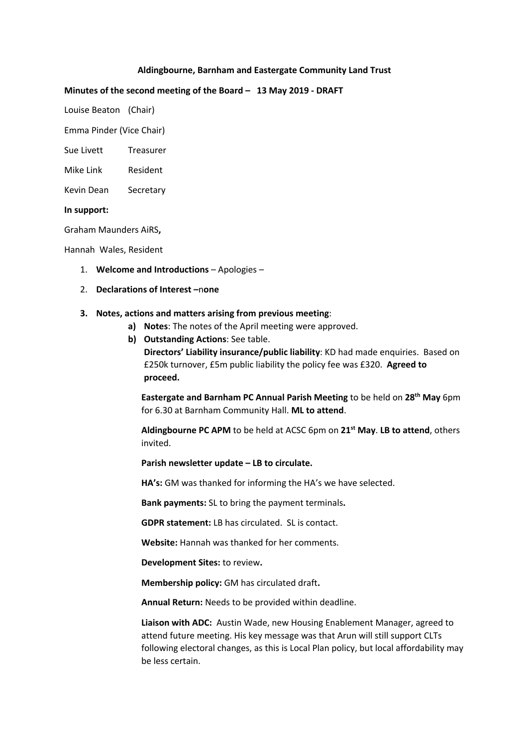#### **Aldingbourne, Barnham and Eastergate Community Land Trust**

#### **Minutes of the second meeting of the Board – 13 May 2019 - DRAFT**

Louise Beaton (Chair)

Emma Pinder (Vice Chair)

Sue Livett Treasurer

Mike Link Resident

Kevin Dean Secretary

#### **In support:**

Graham Maunders AiRS**,** 

Hannah Wales, Resident

- 1. **Welcome and Introductions** Apologies –
- 2. **Declarations of Interest –**n**one**

#### **3. Notes, actions and matters arising from previous meeting**:

- **a) Notes**: The notes of the April meeting were approved.
- **b) Outstanding Actions**: See table. **Directors' Liability insurance/public liability**: KD had made enquiries. Based on £250k turnover, £5m public liability the policy fee was £320. **Agreed to proceed.**

**Eastergate and Barnham PC Annual Parish Meeting** to be held on **28th May** 6pm for 6.30 at Barnham Community Hall. **ML to attend**.

**Aldingbourne PC APM** to be held at ACSC 6pm on **21st May**. **LB to attend**, others invited.

**Parish newsletter update – LB to circulate.** 

**HA's:** GM was thanked for informing the HA's we have selected.

**Bank payments:** SL to bring the payment terminals**.**

**GDPR statement:** LB has circulated.SL is contact.

**Website:** Hannah was thanked for her comments.

**Development Sites:** to review**.** 

**Membership policy:** GM has circulated draft**.**

**Annual Return:** Needs to be provided within deadline.

**Liaison with ADC:** Austin Wade, new Housing Enablement Manager, agreed to attend future meeting. His key message was that Arun will still support CLTs following electoral changes, as this is Local Plan policy, but local affordability may be less certain.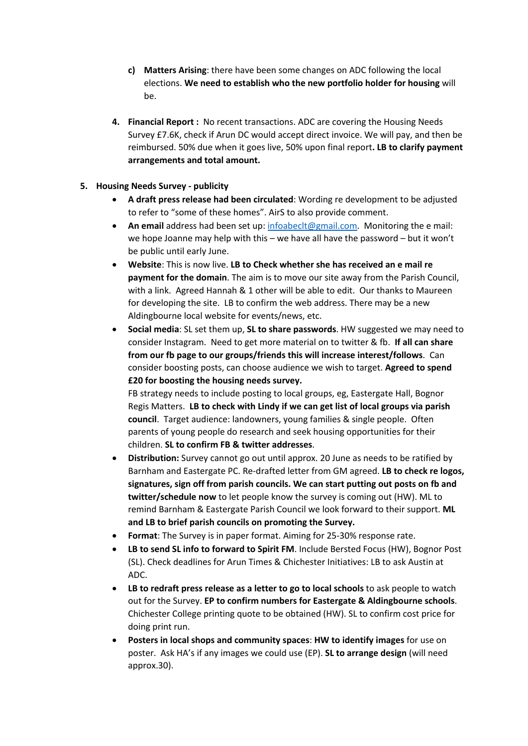- **c) Matters Arising**: there have been some changes on ADC following the local elections. **We need to establish who the new portfolio holder for housing** will be.
- **4. Financial Report :** No recent transactions. ADC are covering the Housing Needs Survey £7.6K, check if Arun DC would accept direct invoice. We will pay, and then be reimbursed. 50% due when it goes live, 50% upon final report**. LB to clarify payment arrangements and total amount.**

## **5. Housing Needs Survey - publicity**

- **A draft press release had been circulated**: Wording re development to be adjusted to refer to "some of these homes". AirS to also provide comment.
- **An email** address had been set up: infoabeclt@gmail.com. Monitoring the e mail: we hope Joanne may help with this – we have all have the password – but it won't be public until early June.
- **Website**: This is now live. **LB to Check whether she has received an e mail re payment for the domain**. The aim is to move our site away from the Parish Council, with a link. Agreed Hannah & 1 other will be able to edit. Our thanks to Maureen for developing the site. LB to confirm the web address. There may be a new Aldingbourne local website for events/news, etc.
- **Social media**: SL set them up, **SL to share passwords**. HW suggested we may need to consider Instagram. Need to get more material on to twitter & fb. **If all can share from our fb page to our groups/friends this will increase interest/follows**. Can consider boosting posts, can choose audience we wish to target. **Agreed to spend £20 for boosting the housing needs survey.**

FB strategy needs to include posting to local groups, eg, Eastergate Hall, Bognor Regis Matters. **LB to check with Lindy if we can get list of local groups via parish council**. Target audience: landowners, young families & single people. Often parents of young people do research and seek housing opportunities for their children. **SL to confirm FB & twitter addresses**.

- **Distribution:** Survey cannot go out until approx. 20 June as needs to be ratified by Barnham and Eastergate PC. Re-drafted letter from GM agreed. **LB to check re logos, signatures, sign off from parish councils. We can start putting out posts on fb and twitter/schedule now** to let people know the survey is coming out (HW). ML to remind Barnham & Eastergate Parish Council we look forward to their support. **ML and LB to brief parish councils on promoting the Survey.**
- **Format**: The Survey is in paper format. Aiming for 25-30% response rate.
- **LB to send SL info to forward to Spirit FM**. Include Bersted Focus (HW), Bognor Post (SL). Check deadlines for Arun Times & Chichester Initiatives: LB to ask Austin at ADC.
- **LB to redraft press release as a letter to go to local schools** to ask people to watch out for the Survey. **EP to confirm numbers for Eastergate & Aldingbourne schools**. Chichester College printing quote to be obtained (HW). SL to confirm cost price for doing print run.
- **Posters in local shops and community spaces**: **HW to identify images** for use on poster. Ask HA's if any images we could use (EP). **SL to arrange design** (will need approx.30).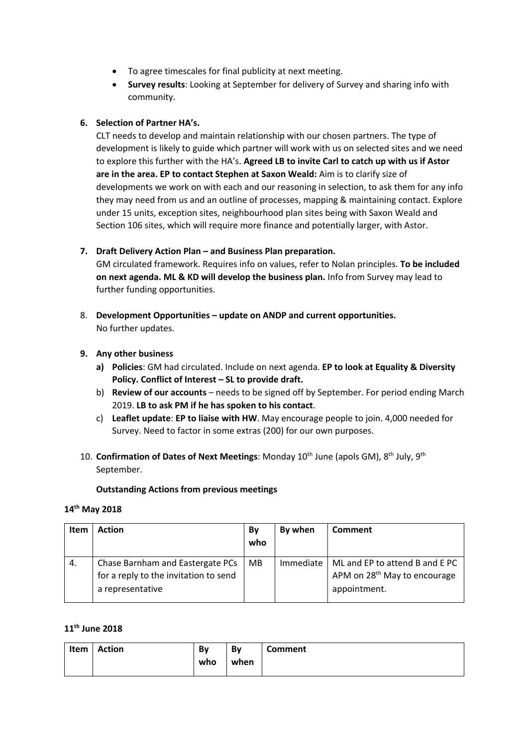- To agree timescales for final publicity at next meeting.
- **Survey results**: Looking at September for delivery of Survey and sharing info with community.

## **6. Selection of Partner HA's.**

CLT needs to develop and maintain relationship with our chosen partners. The type of development is likely to guide which partner will work with us on selected sites and we need to explore this further with the HA's. **Agreed LB to invite Carl to catch up with us if Astor are in the area. EP to contact Stephen at Saxon Weald:** Aim is to clarify size of developments we work on with each and our reasoning in selection, to ask them for any info they may need from us and an outline of processes, mapping & maintaining contact. Explore under 15 units, exception sites, neighbourhood plan sites being with Saxon Weald and Section 106 sites, which will require more finance and potentially larger, with Astor.

## **7. Draft Delivery Action Plan – and Business Plan preparation.**

GM circulated framework. Requires info on values, refer to Nolan principles. **To be included on next agenda. ML & KD will develop the business plan.** Info from Survey may lead to further funding opportunities.

8. **Development Opportunities – update on ANDP and current opportunities.**  No further updates.

## **9. Any other business**

- **a) Policies**: GM had circulated. Include on next agenda. **EP to look at Equality & Diversity Policy. Conflict of Interest – SL to provide draft.**
- b) **Review of our accounts** needs to be signed off by September. For period ending March 2019. **LB to ask PM if he has spoken to his contact**.
- c) **Leaflet update**: **EP to liaise with HW**. May encourage people to join. 4,000 needed for Survey. Need to factor in some extras (200) for our own purposes.
- 10. **Confirmation of Dates of Next Meetings**: Monday 10<sup>th</sup> June (apols GM), 8<sup>th</sup> July, 9<sup>th</sup> September.

#### **Outstanding Actions from previous meetings**

## **14th May 2018**

| Item | <b>Action</b>                                                                                 | Bv<br>who | By when   | Comment                                                                                    |
|------|-----------------------------------------------------------------------------------------------|-----------|-----------|--------------------------------------------------------------------------------------------|
| 4.   | Chase Barnham and Eastergate PCs<br>for a reply to the invitation to send<br>a representative | <b>MB</b> | Immediate | ML and EP to attend B and E PC<br>APM on 28 <sup>th</sup> May to encourage<br>appointment. |

#### **11th June 2018**

| Item | <b>Action</b> | Bv  | Bv   | Comment |
|------|---------------|-----|------|---------|
|      |               | who | when |         |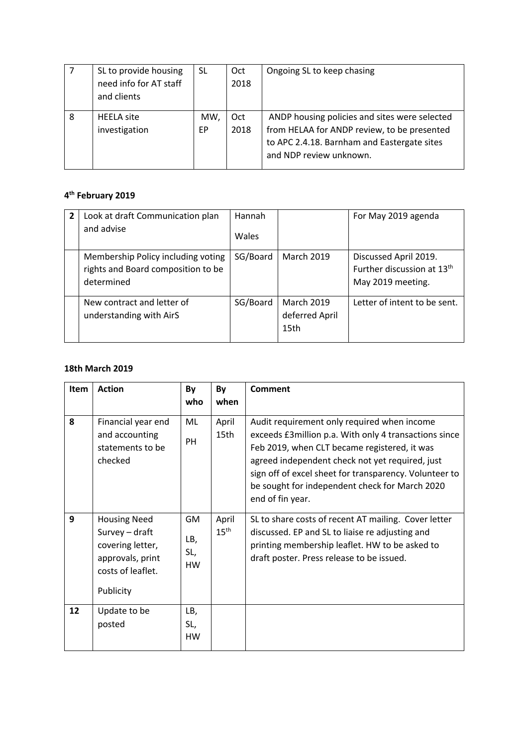|   | SL to provide housing<br>need info for AT staff<br>and clients | SL        | Oct<br>2018 | Ongoing SL to keep chasing                                                                                                                                             |
|---|----------------------------------------------------------------|-----------|-------------|------------------------------------------------------------------------------------------------------------------------------------------------------------------------|
| 8 | <b>HEELA</b> site<br>investigation                             | MW,<br>EP | Oct<br>2018 | ANDP housing policies and sites were selected<br>from HELAA for ANDP review, to be presented<br>to APC 2.4.18. Barnham and Eastergate sites<br>and NDP review unknown. |

# **4th February 2019**

| 2 | Look at draft Communication plan<br>and advise                                         | Hannah<br>Wales |                                             | For May 2019 agenda                                                                  |
|---|----------------------------------------------------------------------------------------|-----------------|---------------------------------------------|--------------------------------------------------------------------------------------|
|   | Membership Policy including voting<br>rights and Board composition to be<br>determined | SG/Board        | <b>March 2019</b>                           | Discussed April 2019.<br>Further discussion at 13 <sup>th</sup><br>May 2019 meeting. |
|   | New contract and letter of<br>understanding with AirS                                  | SG/Board        | <b>March 2019</b><br>deferred April<br>15th | Letter of intent to be sent.                                                         |

## **18th March 2019**

| Item | <b>Action</b>                                                                                                   | By                                   | By                        | <b>Comment</b>                                                                                                                                                                                                                                                                                                                           |
|------|-----------------------------------------------------------------------------------------------------------------|--------------------------------------|---------------------------|------------------------------------------------------------------------------------------------------------------------------------------------------------------------------------------------------------------------------------------------------------------------------------------------------------------------------------------|
|      |                                                                                                                 | who                                  | when                      |                                                                                                                                                                                                                                                                                                                                          |
| 8    | Financial year end<br>and accounting<br>statements to be<br>checked                                             | ML<br>PH                             | April<br>15th             | Audit requirement only required when income<br>exceeds £3 million p.a. With only 4 transactions since<br>Feb 2019, when CLT became registered, it was<br>agreed independent check not yet required, just<br>sign off of excel sheet for transparency. Volunteer to<br>be sought for independent check for March 2020<br>end of fin year. |
| 9    | <b>Housing Need</b><br>Survey - draft<br>covering letter,<br>approvals, print<br>costs of leaflet.<br>Publicity | <b>GM</b><br>LB,<br>SL,<br><b>HW</b> | April<br>$15^{\text{th}}$ | SL to share costs of recent AT mailing. Cover letter<br>discussed. EP and SL to liaise re adjusting and<br>printing membership leaflet. HW to be asked to<br>draft poster. Press release to be issued.                                                                                                                                   |
| 12   | Update to be<br>posted                                                                                          | LB,<br>SL,<br><b>HW</b>              |                           |                                                                                                                                                                                                                                                                                                                                          |